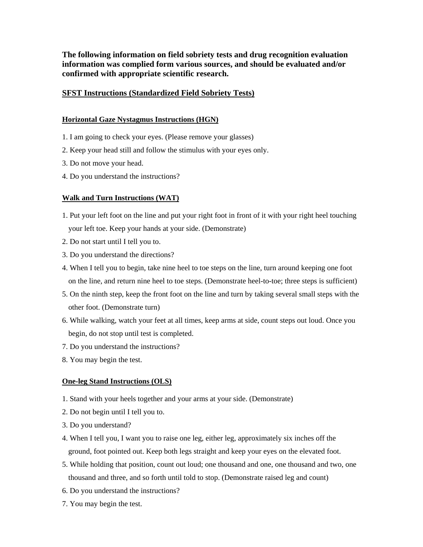**The following information on field sobriety tests and drug recognition evaluation information was complied form various sources, and should be evaluated and/or confirmed with appropriate scientific research.** 

# **SFST Instructions (Standardized Field Sobriety Tests)**

#### **Horizontal Gaze Nystagmus Instructions (HGN)**

- 1. I am going to check your eyes. (Please remove your glasses)
- 2. Keep your head still and follow the stimulus with your eyes only.
- 3. Do not move your head.
- 4. Do you understand the instructions?

#### **Walk and Turn Instructions (WAT)**

- 1. Put your left foot on the line and put your right foot in front of it with your right heel touching your left toe. Keep your hands at your side. (Demonstrate)
- 2. Do not start until I tell you to.
- 3. Do you understand the directions?
- 4. When I tell you to begin, take nine heel to toe steps on the line, turn around keeping one foot on the line, and return nine heel to toe steps. (Demonstrate heel-to-toe; three steps is sufficient)
- 5. On the ninth step, keep the front foot on the line and turn by taking several small steps with the other foot. (Demonstrate turn)
- 6. While walking, watch your feet at all times, keep arms at side, count steps out loud. Once you begin, do not stop until test is completed.
- 7. Do you understand the instructions?
- 8. You may begin the test.

#### **One-leg Stand Instructions (OLS)**

- 1. Stand with your heels together and your arms at your side. (Demonstrate)
- 2. Do not begin until I tell you to.
- 3. Do you understand?
- 4. When I tell you, I want you to raise one leg, either leg, approximately six inches off the ground, foot pointed out. Keep both legs straight and keep your eyes on the elevated foot.
- 5. While holding that position, count out loud; one thousand and one, one thousand and two, one thousand and three, and so forth until told to stop. (Demonstrate raised leg and count)
- 6. Do you understand the instructions?
- 7. You may begin the test.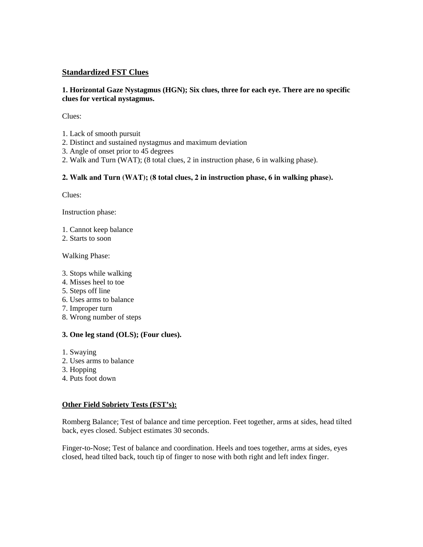# **Standardized FST Clues**

#### **1. Horizontal Gaze Nystagmus (HGN); Six clues, three for each eye. There are no specific clues for vertical nystagmus.**

Clues:

- 1. Lack of smooth pursuit
- 2. Distinct and sustained nystagmus and maximum deviation
- 3. Angle of onset prior to 45 degrees
- 2. Walk and Turn (WAT); (8 total clues, 2 in instruction phase, 6 in walking phase).

# **2. Walk and Turn (WAT); (8 total clues, 2 in instruction phase, 6 in walking phase).**

Clues:

Instruction phase:

- 1. Cannot keep balance
- 2. Starts to soon

Walking Phase:

- 3. Stops while walking
- 4. Misses heel to toe
- 5. Steps off line
- 6. Uses arms to balance
- 7. Improper turn
- 8. Wrong number of steps

# **3. One leg stand (OLS); (Four clues).**

- 1. Swaying
- 2. Uses arms to balance
- 3. Hopping
- 4. Puts foot down

# **Other Field Sobriety Tests (FST's):**

Romberg Balance; Test of balance and time perception. Feet together, arms at sides, head tilted back, eyes closed. Subject estimates 30 seconds.

Finger-to-Nose; Test of balance and coordination. Heels and toes together, arms at sides, eyes closed, head tilted back, touch tip of finger to nose with both right and left index finger.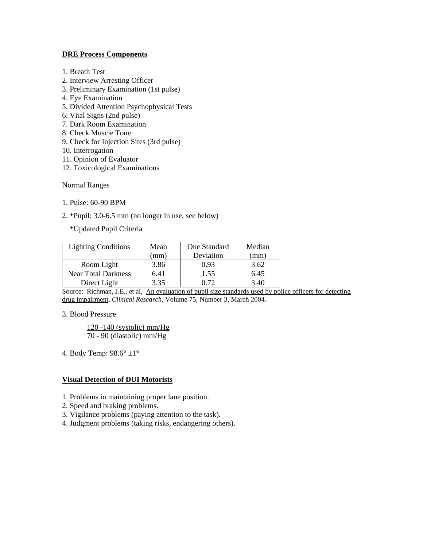#### **DRE Process Components**

- 1. Breath Test
- 2. Interview Arresting Officer
- 3. Preliminary Examination (1st pulse)
- 4. Eye Examination
- 5. Divided Attention Psychophysical Tests
- 6. Vital Signs (2nd pulse)
- 7. Dark Room Examination
- 8. Check Muscle Tone
- 9. Check for Injection Sites (3rd pulse)
- 10. Interrogation
- 11. Opinion of Evaluator
- 12. Toxicological Examinations

Normal Ranges

- 1. Pulse: 60-90 BPM
- 2. \*Pupil: 3.0-6.5 mm (no longer in use, see below)

\*Updated Pupil Criteria

| <b>Lighting Conditions</b> | Mean | One Standard | Median   |
|----------------------------|------|--------------|----------|
|                            | (mm) | Deviation    | (mm)     |
| Room Light                 | 3.86 | 0.93         | 3.62     |
| <b>Near Total Darkness</b> | 6.41 | 1.55         | 6.45     |
| Direct Light               | 3.35 | በ 72         | $3.40 -$ |

Source: Richman, J.E., et al, An evaluation of pupil size standards used by police officers for detecting drug impairment, *Clinical Research*, Volume 75, Number 3, March 2004.

#### 3. Blood Pressure

120 -140 (systolic) mm/Hg 70 - 90 (diastolic) mm/Hg

4. Body Temp: 98.6° ±1°

# **Visual Detection of DUI Motorists**

- 1. Problems in maintaining proper lane position.
- 2. Speed and braking problems.
- 3. Vigilance problems (paying attention to the task).
- 4. Judgment problems (taking risks, endangering others).